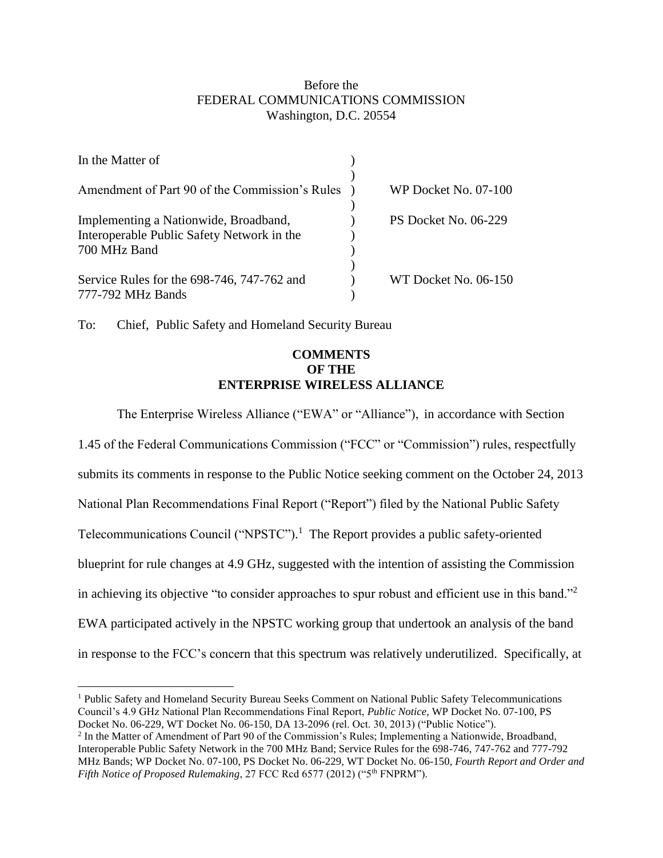## Before the FEDERAL COMMUNICATIONS COMMISSION Washington, D.C. 20554

| In the Matter of                                                                    |                      |
|-------------------------------------------------------------------------------------|----------------------|
| Amendment of Part 90 of the Commission's Rules                                      | WP Docket No. 07-100 |
| Implementing a Nationwide, Broadband,<br>Interoperable Public Safety Network in the | PS Docket No. 06-229 |
| 700 MHz Band<br>Service Rules for the 698-746, 747-762 and                          | WT Docket No. 06-150 |
| 777-792 MHz Bands                                                                   |                      |

To: Chief, Public Safety and Homeland Security Bureau

 $\overline{a}$ 

## **COMMENTS OF THE ENTERPRISE WIRELESS ALLIANCE**

The Enterprise Wireless Alliance ("EWA" or "Alliance"), in accordance with Section 1.45 of the Federal Communications Commission ("FCC" or "Commission") rules, respectfully submits its comments in response to the Public Notice seeking comment on the October 24, 2013 National Plan Recommendations Final Report ("Report") filed by the National Public Safety Telecommunications Council ("NPSTC"). 1 The Report provides a public safety-oriented blueprint for rule changes at 4.9 GHz, suggested with the intention of assisting the Commission in achieving its objective "to consider approaches to spur robust and efficient use in this band."<sup>2</sup> EWA participated actively in the NPSTC working group that undertook an analysis of the band in response to the FCC's concern that this spectrum was relatively underutilized. Specifically, at

<sup>1</sup> Public Safety and Homeland Security Bureau Seeks Comment on National Public Safety Telecommunications Council's 4.9 GHz National Plan Recommendations Final Report, *Public Notice*, WP Docket No. 07-100, PS Docket No. 06-229, WT Docket No. 06-150, DA 13-2096 (rel. Oct. 30, 2013) ("Public Notice").

<sup>&</sup>lt;sup>2</sup> In the Matter of Amendment of Part 90 of the Commission's Rules; Implementing a Nationwide, Broadband, Interoperable Public Safety Network in the 700 MHz Band; Service Rules for the 698-746, 747-762 and 777-792 MHz Bands; WP Docket No. 07-100, PS Docket No. 06-229, WT Docket No. 06-150, *Fourth Report and Order and Fifth Notice of Proposed Rulemaking*, 27 FCC Rcd 6577 (2012) ("5<sup>th</sup> FNPRM").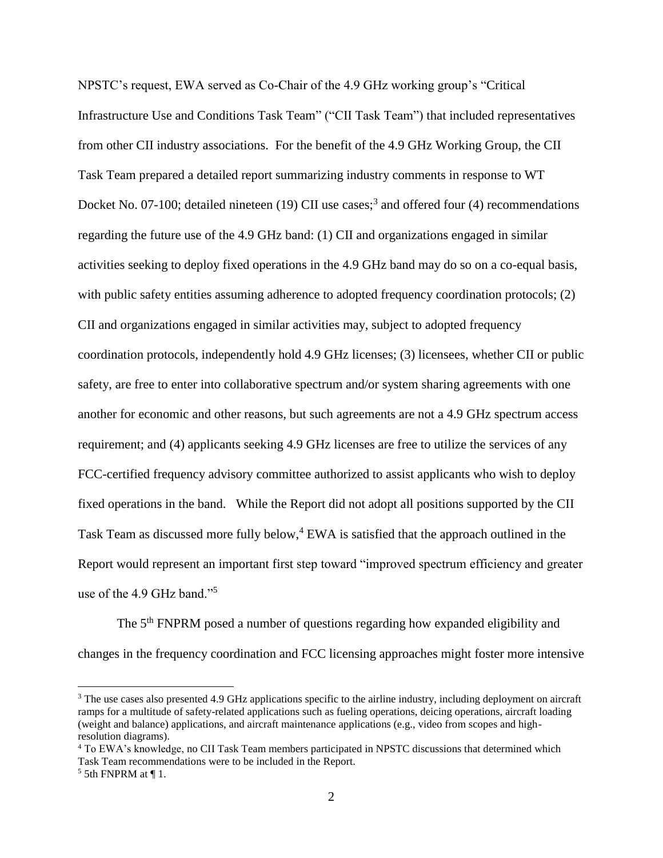NPSTC's request, EWA served as Co-Chair of the 4.9 GHz working group's "Critical Infrastructure Use and Conditions Task Team" ("CII Task Team") that included representatives from other CII industry associations. For the benefit of the 4.9 GHz Working Group, the CII Task Team prepared a detailed report summarizing industry comments in response to WT Docket No. 07-100; detailed nineteen (19) CII use cases;<sup>3</sup> and offered four (4) recommendations regarding the future use of the 4.9 GHz band: (1) CII and organizations engaged in similar activities seeking to deploy fixed operations in the 4.9 GHz band may do so on a co-equal basis, with public safety entities assuming adherence to adopted frequency coordination protocols; (2) CII and organizations engaged in similar activities may, subject to adopted frequency coordination protocols, independently hold 4.9 GHz licenses; (3) licensees, whether CII or public safety, are free to enter into collaborative spectrum and/or system sharing agreements with one another for economic and other reasons, but such agreements are not a 4.9 GHz spectrum access requirement; and (4) applicants seeking 4.9 GHz licenses are free to utilize the services of any FCC-certified frequency advisory committee authorized to assist applicants who wish to deploy fixed operations in the band. While the Report did not adopt all positions supported by the CII Task Team as discussed more fully below,<sup>4</sup> EWA is satisfied that the approach outlined in the Report would represent an important first step toward "improved spectrum efficiency and greater use of the 4.9 GHz band."<sup>5</sup>

The 5<sup>th</sup> FNPRM posed a number of questions regarding how expanded eligibility and changes in the frequency coordination and FCC licensing approaches might foster more intensive

<sup>&</sup>lt;sup>3</sup> The use cases also presented 4.9 GHz applications specific to the airline industry, including deployment on aircraft ramps for a multitude of safety-related applications such as fueling operations, deicing operations, aircraft loading (weight and balance) applications, and aircraft maintenance applications (e.g., video from scopes and highresolution diagrams).

<sup>4</sup> To EWA's knowledge, no CII Task Team members participated in NPSTC discussions that determined which Task Team recommendations were to be included in the Report.

 $5$  5th FNPRM at ¶ 1.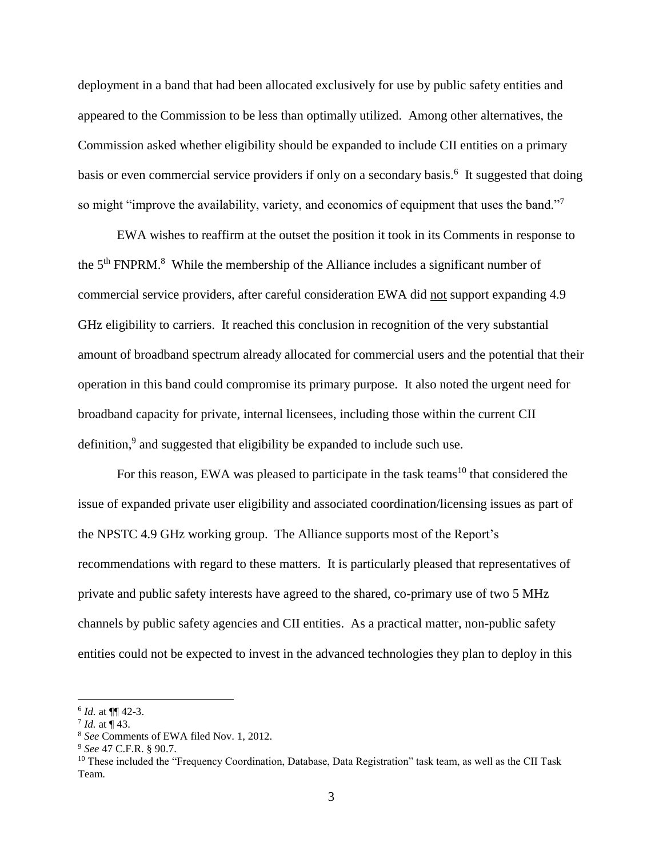deployment in a band that had been allocated exclusively for use by public safety entities and appeared to the Commission to be less than optimally utilized. Among other alternatives, the Commission asked whether eligibility should be expanded to include CII entities on a primary basis or even commercial service providers if only on a secondary basis.<sup>6</sup> It suggested that doing so might "improve the availability, variety, and economics of equipment that uses the band."7

EWA wishes to reaffirm at the outset the position it took in its Comments in response to the  $5<sup>th</sup> FNPRM<sup>8</sup>$ . While the membership of the Alliance includes a significant number of commercial service providers, after careful consideration EWA did not support expanding 4.9 GHz eligibility to carriers. It reached this conclusion in recognition of the very substantial amount of broadband spectrum already allocated for commercial users and the potential that their operation in this band could compromise its primary purpose. It also noted the urgent need for broadband capacity for private, internal licensees, including those within the current CII definition,<sup>9</sup> and suggested that eligibility be expanded to include such use.

For this reason, EWA was pleased to participate in the task teams<sup>10</sup> that considered the issue of expanded private user eligibility and associated coordination/licensing issues as part of the NPSTC 4.9 GHz working group. The Alliance supports most of the Report's recommendations with regard to these matters. It is particularly pleased that representatives of private and public safety interests have agreed to the shared, co-primary use of two 5 MHz channels by public safety agencies and CII entities. As a practical matter, non-public safety entities could not be expected to invest in the advanced technologies they plan to deploy in this

<sup>6</sup> *Id.* at ¶¶ 42-3.

 $^{7}$  *Id.* at  $\P$  43.

<sup>8</sup> *See* Comments of EWA filed Nov. 1, 2012.

<sup>9</sup> *See* 47 C.F.R. § 90.7.

<sup>&</sup>lt;sup>10</sup> These included the "Frequency Coordination, Database, Data Registration" task team, as well as the CII Task Team.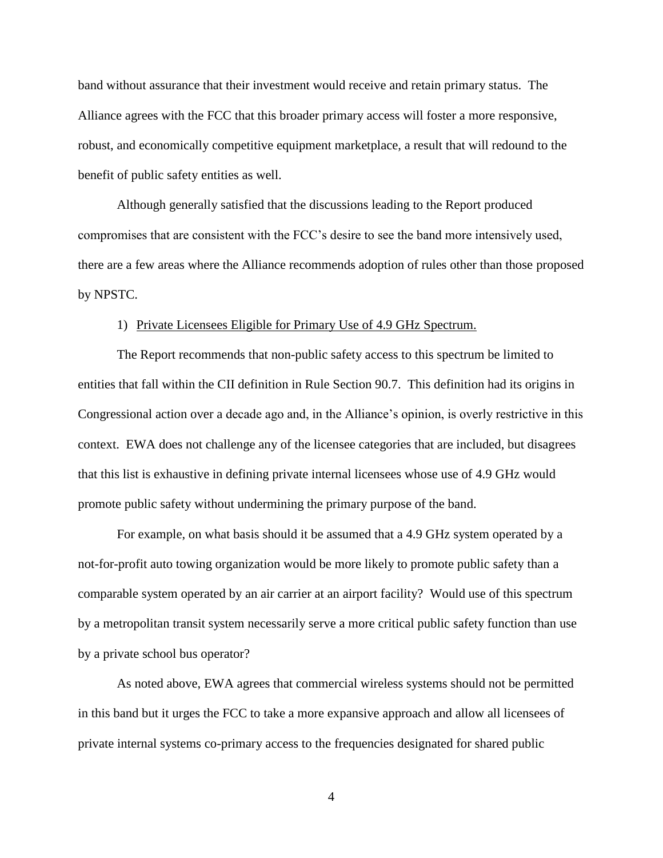band without assurance that their investment would receive and retain primary status. The Alliance agrees with the FCC that this broader primary access will foster a more responsive, robust, and economically competitive equipment marketplace, a result that will redound to the benefit of public safety entities as well.

Although generally satisfied that the discussions leading to the Report produced compromises that are consistent with the FCC's desire to see the band more intensively used, there are a few areas where the Alliance recommends adoption of rules other than those proposed by NPSTC.

## 1) Private Licensees Eligible for Primary Use of 4.9 GHz Spectrum.

The Report recommends that non-public safety access to this spectrum be limited to entities that fall within the CII definition in Rule Section 90.7. This definition had its origins in Congressional action over a decade ago and, in the Alliance's opinion, is overly restrictive in this context. EWA does not challenge any of the licensee categories that are included, but disagrees that this list is exhaustive in defining private internal licensees whose use of 4.9 GHz would promote public safety without undermining the primary purpose of the band.

For example, on what basis should it be assumed that a 4.9 GHz system operated by a not-for-profit auto towing organization would be more likely to promote public safety than a comparable system operated by an air carrier at an airport facility? Would use of this spectrum by a metropolitan transit system necessarily serve a more critical public safety function than use by a private school bus operator?

As noted above, EWA agrees that commercial wireless systems should not be permitted in this band but it urges the FCC to take a more expansive approach and allow all licensees of private internal systems co-primary access to the frequencies designated for shared public

4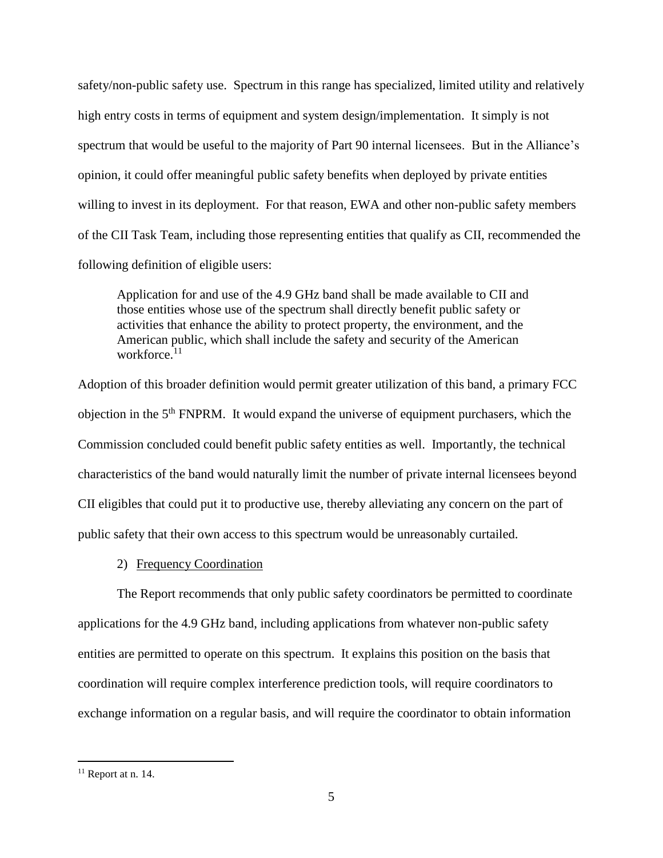safety/non-public safety use. Spectrum in this range has specialized, limited utility and relatively high entry costs in terms of equipment and system design/implementation. It simply is not spectrum that would be useful to the majority of Part 90 internal licensees. But in the Alliance's opinion, it could offer meaningful public safety benefits when deployed by private entities willing to invest in its deployment. For that reason, EWA and other non-public safety members of the CII Task Team, including those representing entities that qualify as CII, recommended the following definition of eligible users:

Application for and use of the 4.9 GHz band shall be made available to CII and those entities whose use of the spectrum shall directly benefit public safety or activities that enhance the ability to protect property, the environment, and the American public, which shall include the safety and security of the American workforce.<sup>11</sup>

Adoption of this broader definition would permit greater utilization of this band, a primary FCC objection in the  $5<sup>th</sup>$  FNPRM. It would expand the universe of equipment purchasers, which the Commission concluded could benefit public safety entities as well. Importantly, the technical characteristics of the band would naturally limit the number of private internal licensees beyond CII eligibles that could put it to productive use, thereby alleviating any concern on the part of public safety that their own access to this spectrum would be unreasonably curtailed.

2) Frequency Coordination

The Report recommends that only public safety coordinators be permitted to coordinate applications for the 4.9 GHz band, including applications from whatever non-public safety entities are permitted to operate on this spectrum. It explains this position on the basis that coordination will require complex interference prediction tools, will require coordinators to exchange information on a regular basis, and will require the coordinator to obtain information

 $11$  Report at n. 14.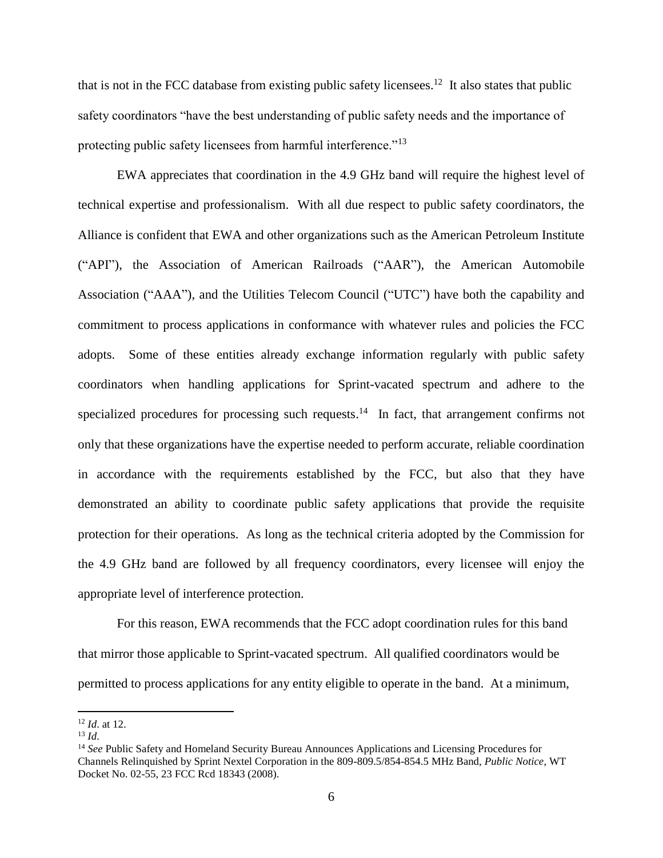that is not in the FCC database from existing public safety licensees.<sup>12</sup> It also states that public safety coordinators "have the best understanding of public safety needs and the importance of protecting public safety licensees from harmful interference."<sup>13</sup>

EWA appreciates that coordination in the 4.9 GHz band will require the highest level of technical expertise and professionalism. With all due respect to public safety coordinators, the Alliance is confident that EWA and other organizations such as the American Petroleum Institute ("API"), the Association of American Railroads ("AAR"), the American Automobile Association ("AAA"), and the Utilities Telecom Council ("UTC") have both the capability and commitment to process applications in conformance with whatever rules and policies the FCC adopts. Some of these entities already exchange information regularly with public safety coordinators when handling applications for Sprint-vacated spectrum and adhere to the specialized procedures for processing such requests.<sup>14</sup> In fact, that arrangement confirms not only that these organizations have the expertise needed to perform accurate, reliable coordination in accordance with the requirements established by the FCC, but also that they have demonstrated an ability to coordinate public safety applications that provide the requisite protection for their operations. As long as the technical criteria adopted by the Commission for the 4.9 GHz band are followed by all frequency coordinators, every licensee will enjoy the appropriate level of interference protection.

For this reason, EWA recommends that the FCC adopt coordination rules for this band that mirror those applicable to Sprint-vacated spectrum. All qualified coordinators would be permitted to process applications for any entity eligible to operate in the band. At a minimum,

<sup>12</sup> *Id*. at 12.

<sup>13</sup> *Id*.

<sup>14</sup> *See* Public Safety and Homeland Security Bureau Announces Applications and Licensing Procedures for Channels Relinquished by Sprint Nextel Corporation in the 809-809.5/854-854.5 MHz Band, *Public Notice*, WT Docket No. 02-55, 23 FCC Rcd 18343 (2008).